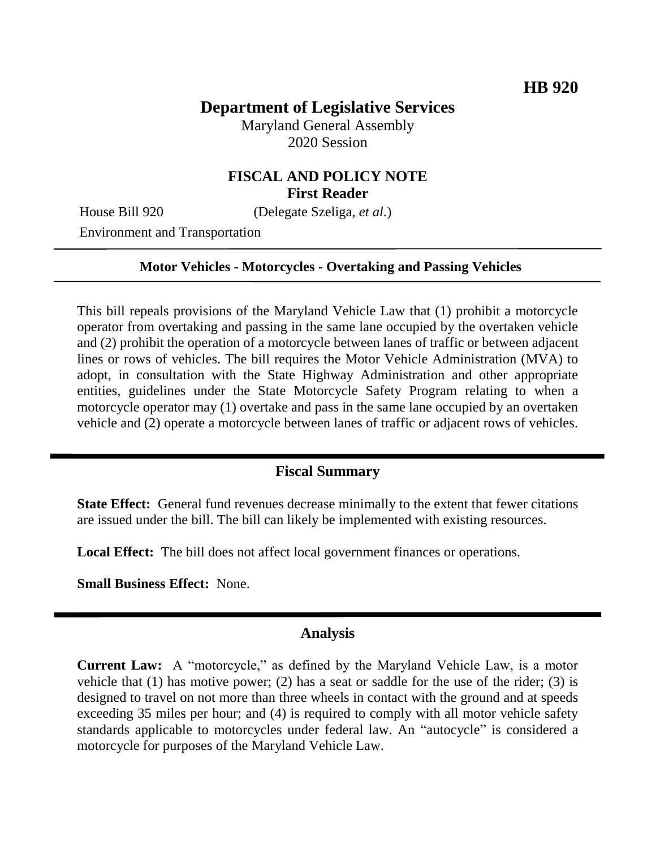# **Department of Legislative Services**

Maryland General Assembly 2020 Session

## **FISCAL AND POLICY NOTE First Reader**

House Bill 920 (Delegate Szeliga, *et al.*)

Environment and Transportation

#### **Motor Vehicles - Motorcycles - Overtaking and Passing Vehicles**

This bill repeals provisions of the Maryland Vehicle Law that (1) prohibit a motorcycle operator from overtaking and passing in the same lane occupied by the overtaken vehicle and (2) prohibit the operation of a motorcycle between lanes of traffic or between adjacent lines or rows of vehicles. The bill requires the Motor Vehicle Administration (MVA) to adopt, in consultation with the State Highway Administration and other appropriate entities, guidelines under the State Motorcycle Safety Program relating to when a motorcycle operator may (1) overtake and pass in the same lane occupied by an overtaken vehicle and (2) operate a motorcycle between lanes of traffic or adjacent rows of vehicles.

#### **Fiscal Summary**

**State Effect:** General fund revenues decrease minimally to the extent that fewer citations are issued under the bill. The bill can likely be implemented with existing resources.

**Local Effect:** The bill does not affect local government finances or operations.

**Small Business Effect:** None.

#### **Analysis**

**Current Law:** A "motorcycle," as defined by the Maryland Vehicle Law, is a motor vehicle that (1) has motive power; (2) has a seat or saddle for the use of the rider; (3) is designed to travel on not more than three wheels in contact with the ground and at speeds exceeding 35 miles per hour; and (4) is required to comply with all motor vehicle safety standards applicable to motorcycles under federal law. An "autocycle" is considered a motorcycle for purposes of the Maryland Vehicle Law.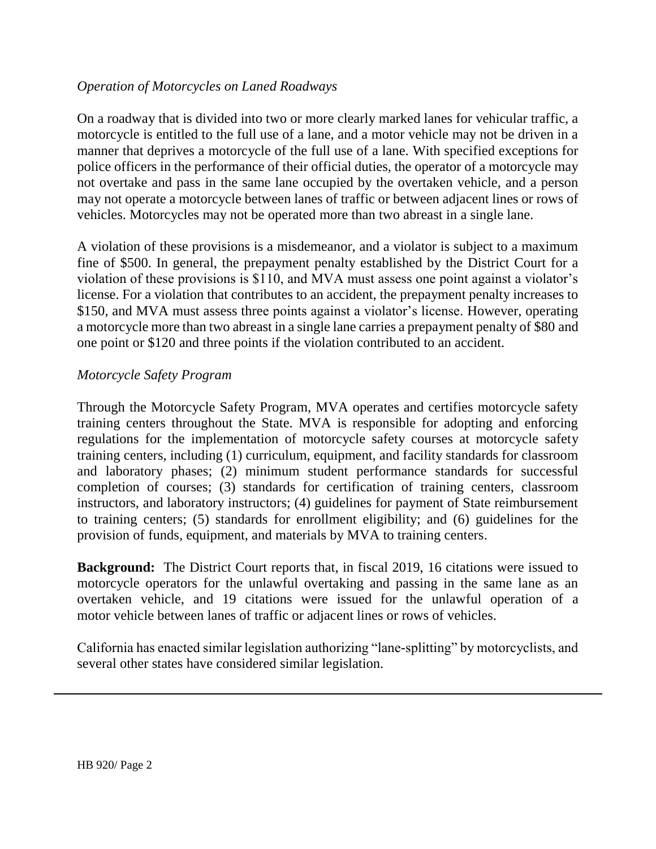### *Operation of Motorcycles on Laned Roadways*

On a roadway that is divided into two or more clearly marked lanes for vehicular traffic, a motorcycle is entitled to the full use of a lane, and a motor vehicle may not be driven in a manner that deprives a motorcycle of the full use of a lane. With specified exceptions for police officers in the performance of their official duties, the operator of a motorcycle may not overtake and pass in the same lane occupied by the overtaken vehicle, and a person may not operate a motorcycle between lanes of traffic or between adjacent lines or rows of vehicles. Motorcycles may not be operated more than two abreast in a single lane.

A violation of these provisions is a misdemeanor, and a violator is subject to a maximum fine of \$500. In general, the prepayment penalty established by the District Court for a violation of these provisions is \$110, and MVA must assess one point against a violator's license. For a violation that contributes to an accident, the prepayment penalty increases to \$150, and MVA must assess three points against a violator's license. However, operating a motorcycle more than two abreast in a single lane carries a prepayment penalty of \$80 and one point or \$120 and three points if the violation contributed to an accident.

### *Motorcycle Safety Program*

Through the Motorcycle Safety Program, MVA operates and certifies motorcycle safety training centers throughout the State. MVA is responsible for adopting and enforcing regulations for the implementation of motorcycle safety courses at motorcycle safety training centers, including (1) curriculum, equipment, and facility standards for classroom and laboratory phases; (2) minimum student performance standards for successful completion of courses; (3) standards for certification of training centers, classroom instructors, and laboratory instructors; (4) guidelines for payment of State reimbursement to training centers; (5) standards for enrollment eligibility; and (6) guidelines for the provision of funds, equipment, and materials by MVA to training centers.

**Background:** The District Court reports that, in fiscal 2019, 16 citations were issued to motorcycle operators for the unlawful overtaking and passing in the same lane as an overtaken vehicle, and 19 citations were issued for the unlawful operation of a motor vehicle between lanes of traffic or adjacent lines or rows of vehicles.

California has enacted similar legislation authorizing "lane-splitting" by motorcyclists, and several other states have considered similar legislation.